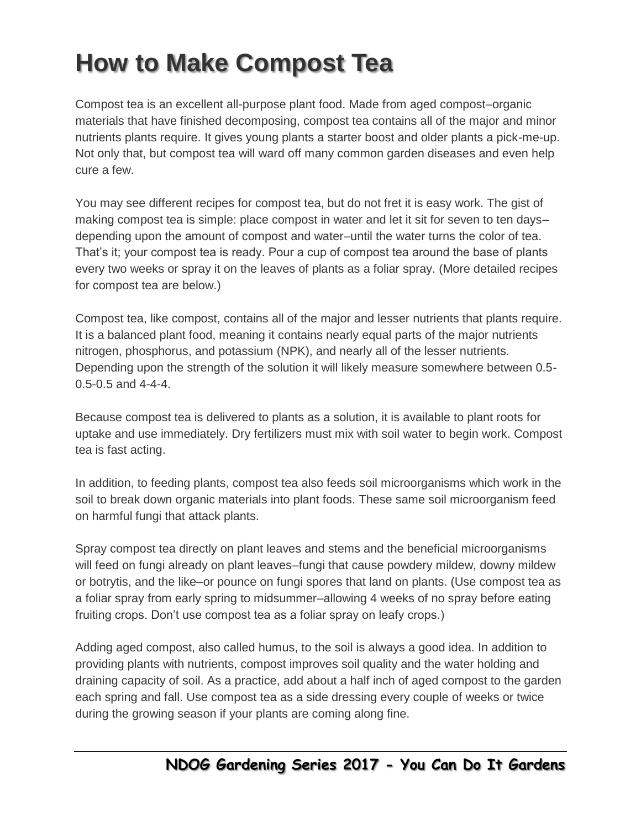## **How to Make Compost Tea**

Compost tea is an excellent all-purpose plant food. Made from aged compost–organic materials that have finished decomposing, compost tea contains all of the major and minor nutrients plants require. It gives young plants a starter boost and older plants a pick-me-up. Not only that, but compost tea will ward off many common garden diseases and even help cure a few.

You may see different recipes for compost tea, but do not fret it is easy work. The gist of making compost tea is simple: place compost in water and let it sit for seven to ten days– depending upon the amount of compost and water–until the water turns the color of tea. That's it; your compost tea is ready. Pour a cup of compost tea around the base of plants every two weeks or spray it on the leaves of plants as a foliar spray. (More detailed recipes for compost tea are below.)

Compost tea, like compost, contains all of the major and lesser nutrients that plants require. It is a balanced plant food, meaning it contains nearly equal parts of the major nutrients nitrogen, phosphorus, and potassium (NPK), and nearly all of the lesser nutrients. Depending upon the strength of the solution it will likely measure somewhere between 0.5- 0.5-0.5 and 4-4-4.

Because compost tea is delivered to plants as a solution, it is available to plant roots for uptake and use immediately. Dry fertilizers must mix with soil water to begin work. Compost tea is fast acting.

In addition, to feeding plants, compost tea also feeds soil microorganisms which work in the soil to break down organic materials into plant foods. These same soil microorganism feed on harmful fungi that attack plants.

Spray compost tea directly on plant leaves and stems and the beneficial microorganisms will feed on fungi already on plant leaves–fungi that cause powdery mildew, downy mildew or botrytis, and the like–or pounce on fungi spores that land on plants. (Use compost tea as a foliar spray from early spring to midsummer–allowing 4 weeks of no spray before eating fruiting crops. Don't use compost tea as a foliar spray on leafy crops.)

Adding aged compost, also called humus, to the soil is always a good idea. In addition to providing plants with nutrients, compost improves soil quality and the water holding and draining capacity of soil. As a practice, add about a half inch of aged compost to the garden each spring and fall. Use compost tea as a side dressing every couple of weeks or twice during the growing season if your plants are coming along fine.